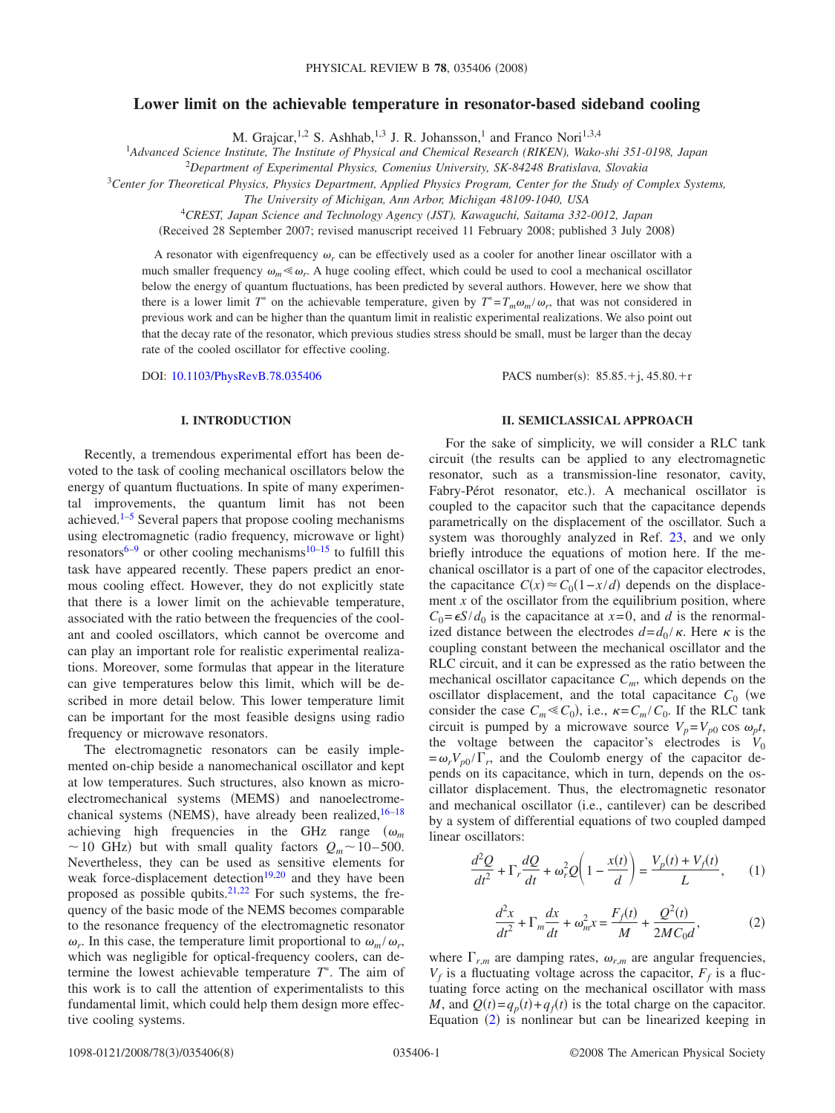## **Lower limit on the achievable temperature in resonator-based sideband cooling**

M. Grajcar,<sup>1,2</sup> S. Ashhab,<sup>1,3</sup> J. R. Johansson,<sup>1</sup> and Franco Nori<sup>1,3,4</sup>

1 *Advanced Science Institute, The Institute of Physical and Chemical Research (RIKEN), Wako-shi 351-0198, Japan*

2 *Department of Experimental Physics, Comenius University, SK-84248 Bratislava, Slovakia*

<sup>3</sup>*Center for Theoretical Physics, Physics Department, Applied Physics Program, Center for the Study of Complex Systems,*

*The University of Michigan, Ann Arbor, Michigan 48109-1040, USA*

4 *CREST, Japan Science and Technology Agency (JST), Kawaguchi, Saitama 332-0012, Japan*

(Received 28 September 2007; revised manuscript received 11 February 2008; published 3 July 2008)

A resonator with eigenfrequency  $\omega_r$  can be effectively used as a cooler for another linear oscillator with a much smaller frequency  $\omega_m \ll \omega_r$ . A huge cooling effect, which could be used to cool a mechanical oscillator below the energy of quantum fluctuations, has been predicted by several authors. However, here we show that there is a lower limit  $T^*$  on the achievable temperature, given by  $T^* = T_m \omega_m / \omega_r$ , that was not considered in previous work and can be higher than the quantum limit in realistic experimental realizations. We also point out that the decay rate of the resonator, which previous studies stress should be small, must be larger than the decay rate of the cooled oscillator for effective cooling.

DOI: [10.1103/PhysRevB.78.035406](http://dx.doi.org/10.1103/PhysRevB.78.035406)

PACS number(s):  $85.85.+j, 45.80.+r$ 

### **I. INTRODUCTION**

Recently, a tremendous experimental effort has been devoted to the task of cooling mechanical oscillators below the energy of quantum fluctuations. In spite of many experimental improvements, the quantum limit has not been achieved.<sup>1[–5](#page-6-1)</sup> Several papers that propose cooling mechanisms using electromagnetic (radio frequency, microwave or light) resonators<sup>6[–9](#page-6-3)</sup> or other cooling mechanisms<sup>10[–15](#page-6-5)</sup> to fulfill this task have appeared recently. These papers predict an enormous cooling effect. However, they do not explicitly state that there is a lower limit on the achievable temperature, associated with the ratio between the frequencies of the coolant and cooled oscillators, which cannot be overcome and can play an important role for realistic experimental realizations. Moreover, some formulas that appear in the literature can give temperatures below this limit, which will be described in more detail below. This lower temperature limit can be important for the most feasible designs using radio frequency or microwave resonators.

The electromagnetic resonators can be easily implemented on-chip beside a nanomechanical oscillator and kept at low temperatures. Such structures, also known as microelectromechanical systems (MEMS) and nanoelectromechanical systems (NEMS), have already been realized,  $16-18$ achieving high frequencies in the GHz range  $(\omega_m)$  $\sim$  10 GHz) but with small quality factors  $Q_m \sim 10-500$ . Nevertheless, they can be used as sensitive elements for weak force-displacement detection $19,20$  $19,20$  and they have been proposed as possible qubits. $2^{1,22}$  $2^{1,22}$  $2^{1,22}$  For such systems, the frequency of the basic mode of the NEMS becomes comparable to the resonance frequency of the electromagnetic resonator  $\omega_r$ . In this case, the temperature limit proportional to  $\omega_m/\omega_r$ , which was negligible for optical-frequency coolers, can determine the lowest achievable temperature *T* . The aim of this work is to call the attention of experimentalists to this fundamental limit, which could help them design more effective cooling systems.

### **II. SEMICLASSICAL APPROACH**

For the sake of simplicity, we will consider a RLC tank circuit the results can be applied to any electromagnetic resonator, such as a transmission-line resonator, cavity, Fabry-Pérot resonator, etc.). A mechanical oscillator is coupled to the capacitor such that the capacitance depends parametrically on the displacement of the oscillator. Such a system was thoroughly analyzed in Ref. [23,](#page-6-12) and we only briefly introduce the equations of motion here. If the mechanical oscillator is a part of one of the capacitor electrodes, the capacitance  $C(x) \approx C_0(1 - x/d)$  depends on the displacement  $x$  of the oscillator from the equilibrium position, where  $C_0 = \epsilon S/d_0$  is the capacitance at  $x=0$ , and *d* is the renormalized distance between the electrodes  $d=d_0 / \kappa$ . Here  $\kappa$  is the coupling constant between the mechanical oscillator and the RLC circuit, and it can be expressed as the ratio between the mechanical oscillator capacitance  $C_m$ , which depends on the oscillator displacement, and the total capacitance  $C_0$  (we consider the case  $C_m \ll C_0$ ), i.e.,  $\kappa = C_m / C_0$ . If the RLC tank circuit is pumped by a microwave source  $V_p = V_{p0} \cos \omega_p t$ , the voltage between the capacitor's electrodes is  $V_0$  $=\omega_r V_{p0} / \Gamma_r$ , and the Coulomb energy of the capacitor depends on its capacitance, which in turn, depends on the oscillator displacement. Thus, the electromagnetic resonator and mechanical oscillator (i.e., cantilever) can be described by a system of differential equations of two coupled damped linear oscillators:

<span id="page-0-1"></span>
$$
\frac{d^2Q}{dt^2} + \Gamma_r \frac{dQ}{dt} + \omega_r^2 Q\left(1 - \frac{x(t)}{d}\right) = \frac{V_p(t) + V_f(t)}{L},\qquad(1)
$$

$$
\frac{d^2x}{dt^2} + \Gamma_m \frac{dx}{dt} + \omega_m^2 x = \frac{F_f(t)}{M} + \frac{Q^2(t)}{2MC_0 d},
$$
 (2)

<span id="page-0-0"></span>where  $\Gamma_{r,m}$  are damping rates,  $\omega_{r,m}$  are angular frequencies,  $V_f$  is a fluctuating voltage across the capacitor,  $F_f$  is a fluctuating force acting on the mechanical oscillator with mass *M*, and  $Q(t) = q_p(t) + q_f(t)$  is the total charge on the capacitor. Equation ([2](#page-0-0)) is nonlinear but can be linearized keeping in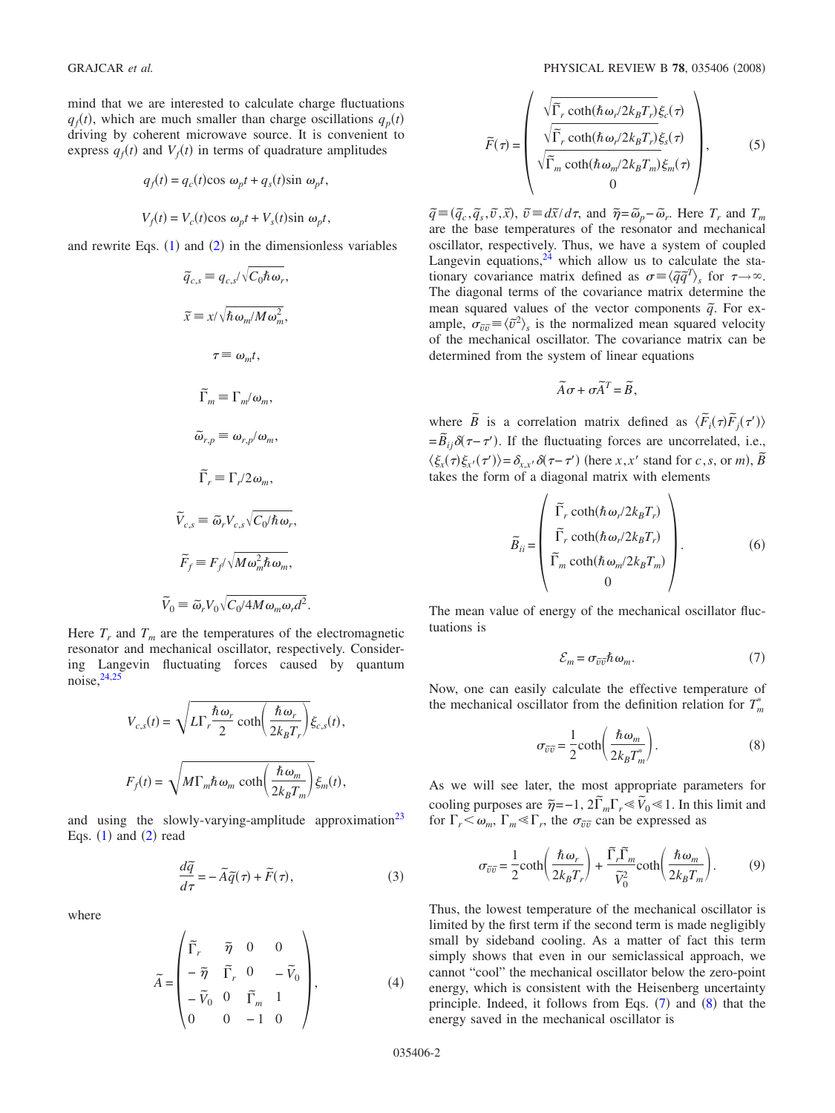mind that we are interested to calculate charge fluctuations  $q_f(t)$ , which are much smaller than charge oscillations  $q_p(t)$ driving by coherent microwave source. It is convenient to express  $q_f(t)$  and  $V_f(t)$  in terms of quadrature amplitudes

$$
q_f(t) = q_c(t)\cos \omega_p t + q_s(t)\sin \omega_p t,
$$
  

$$
V_f(t) = V_c(t)\cos \omega_p t + V_s(t)\sin \omega_p t,
$$

and rewrite Eqs.  $(1)$  $(1)$  $(1)$  and  $(2)$  $(2)$  $(2)$  in the dimensionless variables

$$
\widetilde{q}_{c,s} \equiv q_{c,s}/\sqrt{C_0 \hbar \omega_r},
$$
\n
$$
\widetilde{x} \equiv x/\sqrt{\hbar \omega_m/M\omega_m^2},
$$
\n
$$
\tau \equiv \omega_m t,
$$
\n
$$
\widetilde{\Gamma}_m \equiv \Gamma_m/\omega_m,
$$
\n
$$
\widetilde{\omega}_{r,p} \equiv \omega_{r,p}/\omega_m,
$$
\n
$$
\widetilde{\Gamma}_r \equiv \Gamma_r/2\omega_m,
$$
\n
$$
\widetilde{V}_{c,s} \equiv \widetilde{\omega}_r V_{c,s} \sqrt{C_0/\hbar \omega_r},
$$
\n
$$
\widetilde{F}_f \equiv F_f/\sqrt{M\omega_m^2 \hbar \omega_m},
$$
\n
$$
\widetilde{\Theta}_0 \equiv \widetilde{\omega}_r V_0 \sqrt{C_0/4M\omega_m \omega_r d^2}.
$$

Here  $T_r$  and  $T_m$  are the temperatures of the electromagnetic resonator and mechanical oscillator, respectively. Considering Langevin fluctuating forces caused by quantum noise[,24,](#page-6-13)[25](#page-6-5)

*V ˜*

$$
V_{c,s}(t) = \sqrt{L\Gamma_r \frac{\hbar \omega_r}{2} \coth\left(\frac{\hbar \omega_r}{2k_B T_r}\right)} \xi_{c,s}(t),
$$
  

$$
F_f(t) = \sqrt{M\Gamma_m \hbar \omega_m \coth\left(\frac{\hbar \omega_m}{2k_B T_m}\right)} \xi_m(t),
$$

and using the slowly-varying-amplitude approximation<sup>23</sup> Eqs.  $(1)$  $(1)$  $(1)$  and  $(2)$  $(2)$  $(2)$  read

$$
\frac{d\tilde{q}}{d\tau} = -\tilde{A}\tilde{q}(\tau) + \tilde{F}(\tau),
$$
\n(3)

where

$$
\widetilde{A} = \begin{pmatrix} \widetilde{\Gamma}_r & \widetilde{\eta} & 0 & 0 \\ -\widetilde{\eta} & \widetilde{\Gamma}_r & 0 & -\widetilde{V}_0 \\ -\widetilde{V}_0 & 0 & \widetilde{\Gamma}_m & 1 \\ 0 & 0 & -1 & 0 \end{pmatrix},\tag{4}
$$

$$
\widetilde{F}(\tau) = \begin{pmatrix}\n\sqrt{\widetilde{\Gamma}_r \coth(\hbar \omega_r/2k_B T_r)} \xi_c(\tau) \\
\sqrt{\widetilde{\Gamma}_r \coth(\hbar \omega_r/2k_B T_r)} \xi_s(\tau) \\
\sqrt{\widetilde{\Gamma}_m \coth(\hbar \omega_m/2k_B T_m)} \xi_m(\tau) \\
0\n\end{pmatrix},
$$
\n(5)

 $\tilde{q} \equiv (\tilde{q}_c, \tilde{q}_s, \tilde{v}, \tilde{x}), \ \tilde{v} \equiv d\tilde{x}/d\tau$ , and  $\tilde{\eta} = \tilde{\omega}_p - \tilde{\omega}_r$ . Here  $T_r$  and  $T_m$ are the base temperatures of the resonator and mechanical oscillator, respectively. Thus, we have a system of coupled Langevin equations, $24$  which allow us to calculate the stationary covariance matrix defined as  $\sigma = \langle \tilde{q}\tilde{q}^T \rangle_s$  for  $\tau \rightarrow \infty$ . The diagonal terms of the covariance matrix determine the mean squared values of the vector components  $\tilde{q}$ . For example,  $\sigma_{\tilde{v}\tilde{v}} \equiv \langle \tilde{v}^2 \rangle_s$  is the normalized mean squared velocity of the mechanical oscillator. The covariance matrix can be determined from the system of linear equations

$$
\widetilde{A}\sigma + \sigma \widetilde{A}^T = \widetilde{B},
$$

where  $\tilde{B}$  is a correlation matrix defined as  $\langle \tilde{F}_i(\tau) \tilde{F}_j(\tau') \rangle$  $=\widetilde{B}_{ij}\delta(\tau-\tau')$ . If the fluctuating forces are uncorrelated, i.e.,  $\langle \xi_x(\tau) \xi_{x'}(\tau') \rangle = \delta_{x,x'} \delta(\tau - \tau')$  (here *x*,*x'* stand for *c*,*s*, or *m*),  $\tilde{B}$ takes the form of a diagonal matrix with elements

$$
\widetilde{B}_{ii} = \begin{pmatrix} \widetilde{\Gamma}_r \coth(\hbar \omega_r / 2k_B T_r) \\ \widetilde{\Gamma}_r \coth(\hbar \omega_r / 2k_B T_r) \\ \widetilde{\Gamma}_m \coth(\hbar \omega_m / 2k_B T_m) \\ 0 \end{pmatrix} . \tag{6}
$$

The mean value of energy of the mechanical oscillator fluctuations is

$$
\mathcal{E}_m = \sigma_{\tilde{v}\tilde{v}} \hbar \,\omega_m. \tag{7}
$$

<span id="page-1-0"></span>Now, one can easily calculate the effective temperature of the mechanical oscillator from the definition relation for  $T_m^*$ 

$$
\sigma_{\tilde{v}\tilde{v}} = \frac{1}{2} \coth\left(\frac{\hbar \omega_m}{2k_B T_m^*}\right). \tag{8}
$$

<span id="page-1-1"></span>As we will see later, the most appropriate parameters for cooling purposes are  $\tilde{\eta} = -1$ ,  $2\tilde{\Gamma}_m \Gamma_r \leq \tilde{V}_0 \leq 1$ . In this limit and for  $\Gamma_r < \omega_m$ ,  $\Gamma_m \ll \Gamma_r$ , the  $\sigma_{\tilde{\nu}\tilde{\nu}}$  can be expressed as

$$
\sigma_{\widetilde{v}\widetilde{v}} = \frac{1}{2} \text{coth}\left(\frac{\hbar \omega_r}{2k_B T_r}\right) + \frac{\widetilde{\Gamma}_r \widetilde{\Gamma}_m}{\widetilde{V}_0^2} \text{coth}\left(\frac{\hbar \omega_m}{2k_B T_m}\right). \tag{9}
$$

<span id="page-1-2"></span>Thus, the lowest temperature of the mechanical oscillator is limited by the first term if the second term is made negligibly small by sideband cooling. As a matter of fact this term simply shows that even in our semiclassical approach, we cannot "cool" the mechanical oscillator below the zero-point energy, which is consistent with the Heisenberg uncertainty principle. Indeed, it follows from Eqs.  $(7)$  $(7)$  $(7)$  and  $(8)$  $(8)$  $(8)$  that the energy saved in the mechanical oscillator is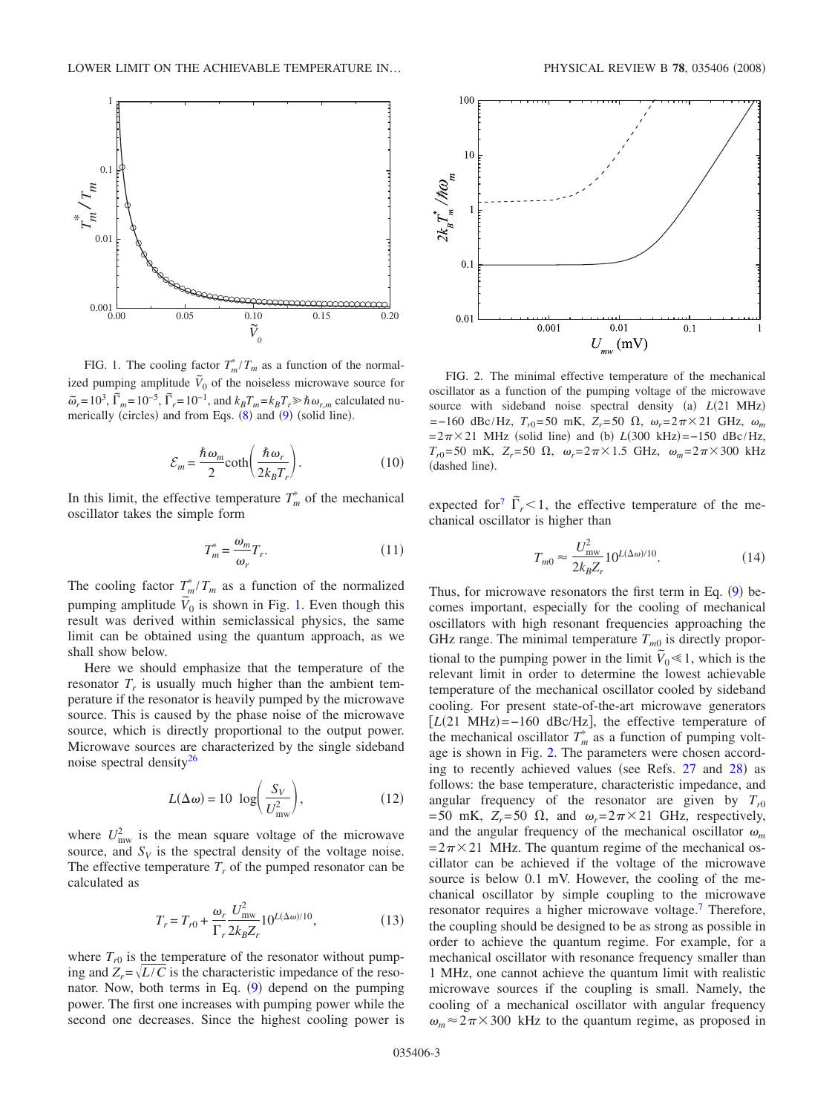<span id="page-2-0"></span>

FIG. 1. The cooling factor  $T_m^*/T_m$  as a function of the normalized pumping amplitude  $\tilde{V}_0$  of the noiseless microwave source for  $\tilde{\omega}_r = 10^3$ ,  $\tilde{\Gamma}_m = 10^{-5}$ ,  $\tilde{\Gamma}_r = 10^{-1}$ , and  $k_B T_m = k_B T_r \gg \hbar \omega_{r,m}$  calculated numerically (circles) and from Eqs.  $(8)$  $(8)$  $(8)$  and  $(9)$  $(9)$  $(9)$  (solid line).

$$
\mathcal{E}_m = \frac{\hbar \,\omega_m}{2} \text{coth}\bigg(\frac{\hbar \,\omega_r}{2k_B T_r}\bigg). \tag{10}
$$

In this limit, the effective temperature  $T_m^*$  of the mechanical oscillator takes the simple form

$$
T_m^* = \frac{\omega_m}{\omega_r} T_r.
$$
 (11)

<span id="page-2-2"></span>The cooling factor  $T_m^*/T_m$  as a function of the normalized pumping amplitude  $\overline{V}_0$  is shown in Fig. [1.](#page-2-0) Even though this result was derived within semiclassical physics, the same limit can be obtained using the quantum approach, as we shall show below.

Here we should emphasize that the temperature of the resonator  $T_r$  is usually much higher than the ambient temperature if the resonator is heavily pumped by the microwave source. This is caused by the phase noise of the microwave source, which is directly proportional to the output power. Microwave sources are characterized by the single sideband noise spectral density $^{26}$ 

$$
L(\Delta \omega) = 10 \log \left( \frac{S_V}{U_{\text{mw}}^2} \right),\tag{12}
$$

where  $U_{\text{mw}}^2$  is the mean square voltage of the microwave source, and  $S_V$  is the spectral density of the voltage noise. The effective temperature  $T_r$  of the pumped resonator can be calculated as

$$
T_r = T_{r0} + \frac{\omega_r}{\Gamma_r} \frac{U_{\text{mw}}^2}{2k_B Z_r} 10^{L(\Delta\omega)/10},\tag{13}
$$

where  $T_{r0}$  is the temperature of the resonator without pumping and  $Z_r = \sqrt{L/C}$  is the characteristic impedance of the reso-nator. Now, both terms in Eq. ([9](#page-1-2)) depend on the pumping power. The first one increases with pumping power while the second one decreases. Since the highest cooling power is

<span id="page-2-1"></span>

FIG. 2. The minimal effective temperature of the mechanical oscillator as a function of the pumping voltage of the microwave source with sideband noise spectral density (a)  $L(21 \text{ MHz})$ =−160 dBc/Hz, *T<sub>r0</sub>*=50 mK, *Z<sub>r</sub>*=50 Ω,  $ω_r$ =2π×21 GHz,  $ω_m$  $= 2\pi \times 21$  MHz (solid line) and (b)  $L(300 \text{ kHz}) = -150 \text{ dBc/Hz}$ ,  $T_{r0}$ = 50 mK,  $Z_r$ = 50  $\Omega$ ,  $\omega_r = 2\pi \times 1.5$  GHz,  $\omega_m = 2\pi \times 300$  kHz (dashed line).

expected for<sup>7</sup>  $\tilde{\Gamma}_r$  < 1, the effective temperature of the mechanical oscillator is higher than

$$
T_{m0} \approx \frac{U_{\text{mw}}^2}{2k_B Z_r} 10^{L(\Delta\omega)/10}.
$$
 (14)

Thus, for microwave resonators the first term in Eq.  $(9)$  $(9)$  $(9)$  becomes important, especially for the cooling of mechanical oscillators with high resonant frequencies approaching the GHz range. The minimal temperature  $T_{m0}$  is directly proportional to the pumping power in the limit  $\tilde{V}_0 \le 1$ , which is the relevant limit in order to determine the lowest achievable temperature of the mechanical oscillator cooled by sideband cooling. For present state-of-the-art microwave generators  $[L(21 \text{ MHz}) = -160 \text{ dBc/Hz}]$ , the effective temperature of the mechanical oscillator  $T_m^*$  as a function of pumping voltage is shown in Fig. [2.](#page-2-1) The parameters were chosen accord-ing to recently achieved values (see Refs. [27](#page-6-16) and [28](#page-6-17)) as follows: the base temperature, characteristic impedance, and angular frequency of the resonator are given by  $T_{r0}$ = 50 mK,  $Z_r$ = 50  $\Omega$ , and  $\omega_r$ = 2 $\pi \times 21$  GHz, respectively, and the angular frequency of the mechanical oscillator  $\omega_m$  $= 2\pi \times 21$  MHz. The quantum regime of the mechanical oscillator can be achieved if the voltage of the microwave source is below 0.1 mV. However, the cooling of the mechanical oscillator by simple coupling to the microwave resonator requires a higher microwave voltage.<sup>7</sup> Therefore, the coupling should be designed to be as strong as possible in order to achieve the quantum regime. For example, for a mechanical oscillator with resonance frequency smaller than 1 MHz, one cannot achieve the quantum limit with realistic microwave sources if the coupling is small. Namely, the cooling of a mechanical oscillator with angular frequency  $\omega_m \approx 2\pi \times 300$  kHz to the quantum regime, as proposed in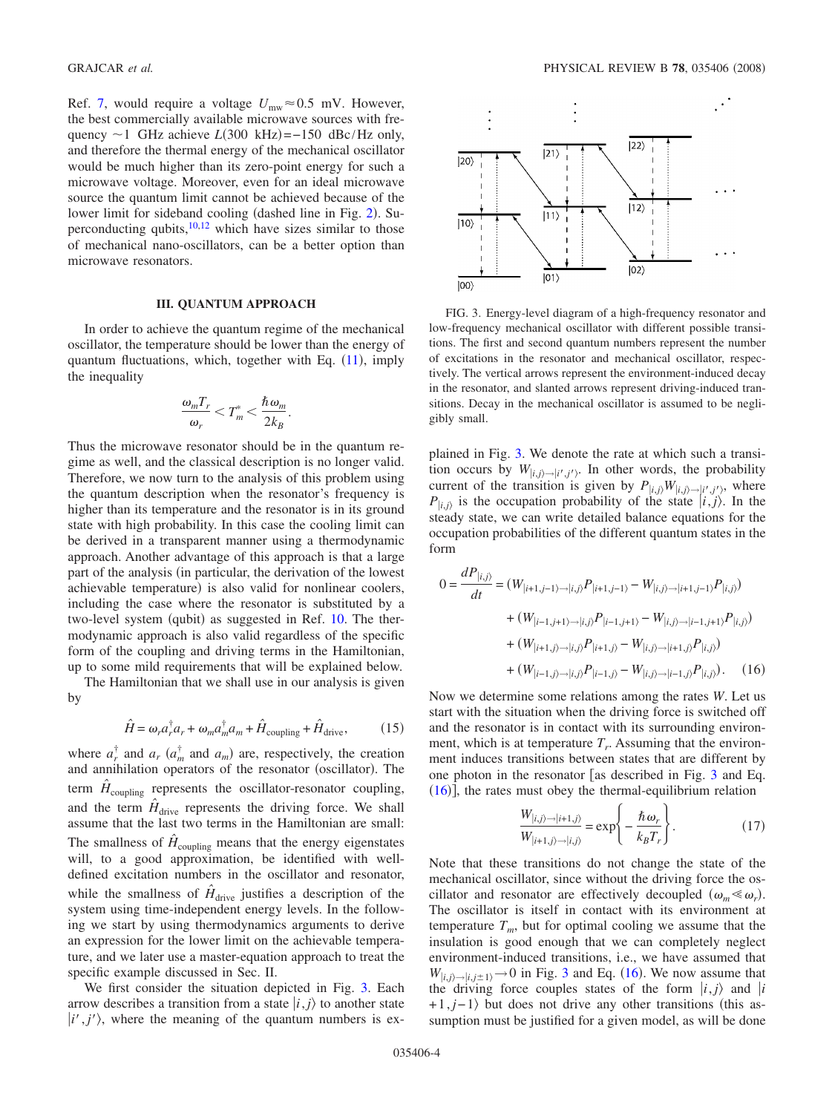Ref. [7,](#page-6-15) would require a voltage  $U_{\text{mw}} \approx 0.5$  mV. However, the best commercially available microwave sources with frequency  $\sim$ 1 GHz achieve *L*(300 kHz)= $-150$  dBc/Hz only, and therefore the thermal energy of the mechanical oscillator would be much higher than its zero-point energy for such a microwave voltage. Moreover, even for an ideal microwave source the quantum limit cannot be achieved because of the lower limit for sideband cooling (dashed line in Fig. [2](#page-2-1)). Superconducting qubits, $10,12$  $10,12$  which have sizes similar to those of mechanical nano-oscillators, can be a better option than microwave resonators.

#### **III. QUANTUM APPROACH**

In order to achieve the quantum regime of the mechanical oscillator, the temperature should be lower than the energy of quantum fluctuations, which, together with Eq. ([11](#page-2-2)), imply the inequality

$$
\frac{\omega_m T_r}{\omega_r} < T_m^* < \frac{\hbar \omega_m}{2k_B}.
$$

Thus the microwave resonator should be in the quantum regime as well, and the classical description is no longer valid. Therefore, we now turn to the analysis of this problem using the quantum description when the resonator's frequency is higher than its temperature and the resonator is in its ground state with high probability. In this case the cooling limit can be derived in a transparent manner using a thermodynamic approach. Another advantage of this approach is that a large part of the analysis (in particular, the derivation of the lowest achievable temperature) is also valid for nonlinear coolers, including the case where the resonator is substituted by a two-level system (qubit) as suggested in Ref. [10.](#page-6-4) The thermodynamic approach is also valid regardless of the specific form of the coupling and driving terms in the Hamiltonian, up to some mild requirements that will be explained below.

The Hamiltonian that we shall use in our analysis is given by

$$
\hat{H} = \omega_r a_r^{\dagger} a_r + \omega_m a_m^{\dagger} a_m + \hat{H}_{\text{coupling}} + \hat{H}_{\text{drive}},\tag{15}
$$

where  $a_r^{\dagger}$  and  $a_r$   $(a_m^{\dagger}$  and  $a_m)$  are, respectively, the creation and annihilation operators of the resonator (oscillator). The term  $\hat{H}_{\text{coupling}}$  represents the oscillator-resonator coupling, and the term  $\hat{H}_{\text{drive}}$  represents the driving force. We shall assume that the last two terms in the Hamiltonian are small: The smallness of  $\hat{H}_{\text{coupling}}$  means that the energy eigenstates will, to a good approximation, be identified with welldefined excitation numbers in the oscillator and resonator, while the smallness of  $H_{\text{drive}}$  justifies a description of the system using time-independent energy levels. In the following we start by using thermodynamics arguments to derive an expression for the lower limit on the achievable temperature, and we later use a master-equation approach to treat the specific example discussed in Sec. II.

We first consider the situation depicted in Fig. [3.](#page-3-0) Each arrow describes a transition from a state  $|i, j\rangle$  to another state  $|i',j'\rangle$ , where the meaning of the quantum numbers is ex-

<span id="page-3-0"></span>

FIG. 3. Energy-level diagram of a high-frequency resonator and low-frequency mechanical oscillator with different possible transitions. The first and second quantum numbers represent the number of excitations in the resonator and mechanical oscillator, respectively. The vertical arrows represent the environment-induced decay in the resonator, and slanted arrows represent driving-induced transitions. Decay in the mechanical oscillator is assumed to be negligibly small.

plained in Fig. [3.](#page-3-0) We denote the rate at which such a transition occurs by  $W_{|i,j\rangle \rightarrow |i',j'\rangle}$ . In other words, the probability current of the transition is given by  $P_{|i,j\rangle}W_{|i,j\rangle\rightarrow|i',j'\rangle}$ , where  $P_{|i,j\rangle}$  is the occupation probability of the state  $|i, j\rangle$ . In the steady state, we can write detailed balance equations for the occupation probabilities of the different quantum states in the form

<span id="page-3-1"></span>
$$
0 = \frac{dP_{|i,j\rangle}}{dt} = (W_{|i+1,j-1\rangle \to |i,j\rangle} P_{|i+1,j-1\rangle} - W_{|i,j\rangle \to |i+1,j-1\rangle} P_{|i,j\rangle})
$$
  
+ 
$$
(W_{|i-1,j+1\rangle \to |i,j\rangle} P_{|i-1,j+1\rangle} - W_{|i,j\rangle \to |i-1,j+1\rangle} P_{|i,j\rangle})
$$
  
+ 
$$
(W_{|i+1,j\rangle \to |i,j\rangle} P_{|i+1,j\rangle} - W_{|i,j\rangle \to |i+1,j\rangle} P_{|i,j\rangle})
$$
  
+ 
$$
(W_{|i-1,j\rangle \to |i,j\rangle} P_{|i-1,j\rangle} - W_{|i,j\rangle \to |i-1,j\rangle} P_{|i,j\rangle}).
$$
 (16)

Now we determine some relations among the rates *W*. Let us start with the situation when the driving force is switched off and the resonator is in contact with its surrounding environment, which is at temperature  $T_r$ . Assuming that the environment induces transitions between states that are different by one photon in the resonator  $\lceil$  as described in Fig. [3](#page-3-0) and Eq.  $(16)$  $(16)$  $(16)$ , the rates must obey the thermal-equilibrium relation

$$
\frac{W_{|i,j\rangle\rightarrow|i+1,j\rangle}}{W_{|i+1,j\rangle\rightarrow|i,j\rangle}} = \exp\left\{-\frac{\hbar\omega_r}{k_BT_r}\right\}.
$$
 (17)

<span id="page-3-2"></span>Note that these transitions do not change the state of the mechanical oscillator, since without the driving force the oscillator and resonator are effectively decoupled  $(\omega_m \ll \omega_r)$ . The oscillator is itself in contact with its environment at temperature  $T_m$ , but for optimal cooling we assume that the insulation is good enough that we can completely neglect environment-induced transitions, i.e., we have assumed that  $W_{|i,j\rangle \rightarrow |i,j\pm 1\rangle} \rightarrow 0$  in Fig. [3](#page-3-0) and Eq. ([16](#page-3-1)). We now assume that the driving force couples states of the form  $|i, j\rangle$  and  $|i$  $+1$ , *j*−1) but does not drive any other transitions (this assumption must be justified for a given model, as will be done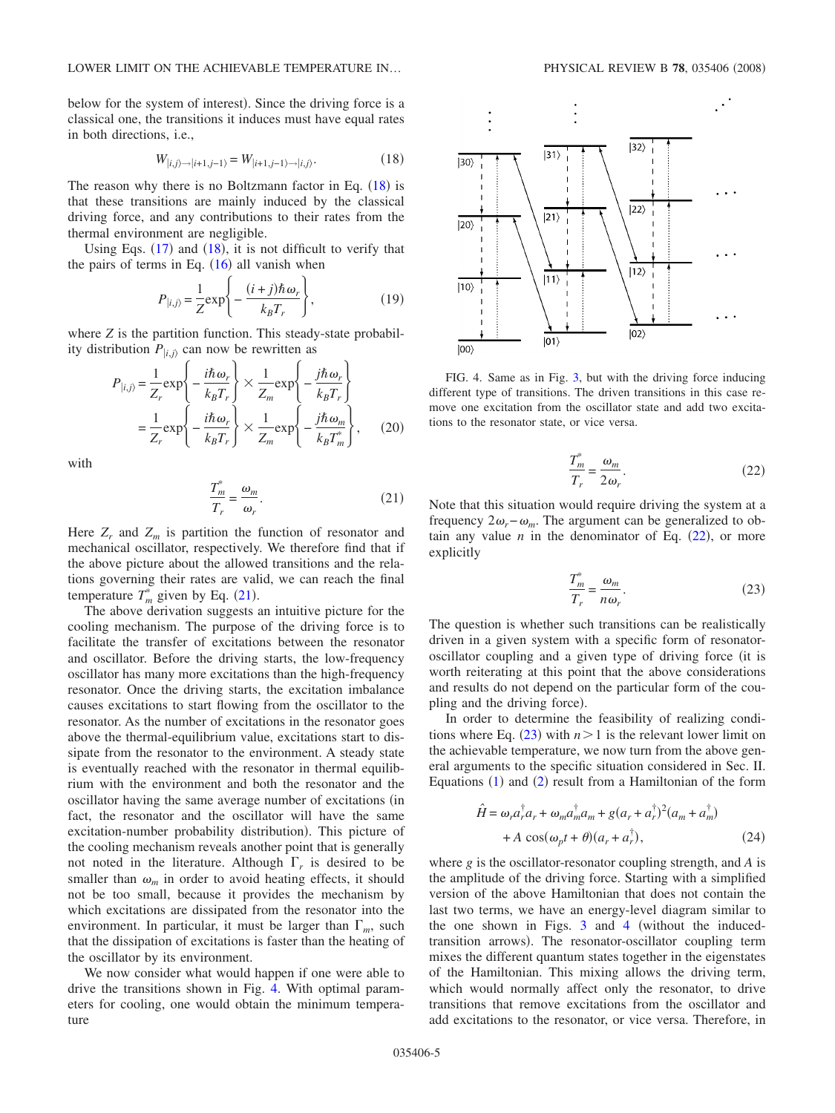below for the system of interest). Since the driving force is a classical one, the transitions it induces must have equal rates in both directions, i.e.,

$$
W_{|i,j\rangle \to |i+1,j-1\rangle} = W_{|i+1,j-1\rangle \to |i,j\rangle}.
$$
\n(18)

<span id="page-4-0"></span>The reason why there is no Boltzmann factor in Eq.  $(18)$  $(18)$  $(18)$  is that these transitions are mainly induced by the classical driving force, and any contributions to their rates from the thermal environment are negligible.

Using Eqs.  $(17)$  $(17)$  $(17)$  and  $(18)$  $(18)$  $(18)$ , it is not difficult to verify that the pairs of terms in Eq.  $(16)$  $(16)$  $(16)$  all vanish when

$$
P_{|i,j\rangle} = \frac{1}{Z} \exp\left\{-\frac{(i+j)\hbar\omega_r}{k_B T_r}\right\},\tag{19}
$$

where *Z* is the partition function. This steady-state probability distribution  $P_{i,j}$  can now be rewritten as

$$
P_{|i,j\rangle} = \frac{1}{Z_r} \exp\left\{-\frac{i\hbar\omega_r}{k_B T_r}\right\} \times \frac{1}{Z_m} \exp\left\{-\frac{j\hbar\omega_r}{k_B T_r}\right\}
$$
  
=  $\frac{1}{Z_r} \exp\left\{-\frac{i\hbar\omega_r}{k_B T_r}\right\} \times \frac{1}{Z_m} \exp\left\{-\frac{j\hbar\omega_m}{k_B T_m^*}\right\},$  (20)

with

$$
\frac{T_m^*}{T_r} = \frac{\omega_m}{\omega_r}.\tag{21}
$$

<span id="page-4-1"></span>Here  $Z_r$  and  $Z_m$  is partition the function of resonator and mechanical oscillator, respectively. We therefore find that if the above picture about the allowed transitions and the relations governing their rates are valid, we can reach the final temperature  $T_m^*$  given by Eq. ([21](#page-4-1)).

The above derivation suggests an intuitive picture for the cooling mechanism. The purpose of the driving force is to facilitate the transfer of excitations between the resonator and oscillator. Before the driving starts, the low-frequency oscillator has many more excitations than the high-frequency resonator. Once the driving starts, the excitation imbalance causes excitations to start flowing from the oscillator to the resonator. As the number of excitations in the resonator goes above the thermal-equilibrium value, excitations start to dissipate from the resonator to the environment. A steady state is eventually reached with the resonator in thermal equilibrium with the environment and both the resonator and the oscillator having the same average number of excitations (in fact, the resonator and the oscillator will have the same excitation-number probability distribution). This picture of the cooling mechanism reveals another point that is generally not noted in the literature. Although  $\Gamma_r$  is desired to be smaller than  $\omega_m$  in order to avoid heating effects, it should not be too small, because it provides the mechanism by which excitations are dissipated from the resonator into the environment. In particular, it must be larger than  $\Gamma_m$ , such that the dissipation of excitations is faster than the heating of the oscillator by its environment.

We now consider what would happen if one were able to drive the transitions shown in Fig. [4.](#page-4-2) With optimal parameters for cooling, one would obtain the minimum temperature

<span id="page-4-2"></span>

FIG. 4. Same as in Fig. [3,](#page-3-0) but with the driving force inducing different type of transitions. The driven transitions in this case remove one excitation from the oscillator state and add two excitations to the resonator state, or vice versa.

$$
\frac{T_m^*}{T_r} = \frac{\omega_m}{2\omega_r}.
$$
\n(22)

<span id="page-4-3"></span>Note that this situation would require driving the system at a frequency  $2\omega_r - \omega_m$ . The argument can be generalized to obtain any value  $n$  in the denominator of Eq.  $(22)$  $(22)$  $(22)$ , or more explicitly

$$
\frac{T_m^*}{T_r} = \frac{\omega_m}{n\omega_r}.
$$
\n(23)

<span id="page-4-4"></span>The question is whether such transitions can be realistically driven in a given system with a specific form of resonatoroscillator coupling and a given type of driving force (it is worth reiterating at this point that the above considerations and results do not depend on the particular form of the coupling and the driving force).

In order to determine the feasibility of realizing conditions where Eq.  $(23)$  $(23)$  $(23)$  with  $n > 1$  is the relevant lower limit on the achievable temperature, we now turn from the above general arguments to the specific situation considered in Sec. II. Equations  $(1)$  $(1)$  $(1)$  and  $(2)$  $(2)$  $(2)$  result from a Hamiltonian of the form

$$
\hat{H} = \omega_r a_r^{\dagger} a_r + \omega_m a_m^{\dagger} a_m + g(a_r + a_r^{\dagger})^2 (a_m + a_m^{\dagger})
$$
  
+ 
$$
A \cos(\omega_p t + \theta)(a_r + a_r^{\dagger}),
$$
 (24)

<span id="page-4-5"></span>where *g* is the oscillator-resonator coupling strength, and *A* is the amplitude of the driving force. Starting with a simplified version of the above Hamiltonian that does not contain the last two terms, we have an energy-level diagram similar to the one shown in Figs.  $3$  and  $4$  (without the inducedtransition arrows). The resonator-oscillator coupling term mixes the different quantum states together in the eigenstates of the Hamiltonian. This mixing allows the driving term, which would normally affect only the resonator, to drive transitions that remove excitations from the oscillator and add excitations to the resonator, or vice versa. Therefore, in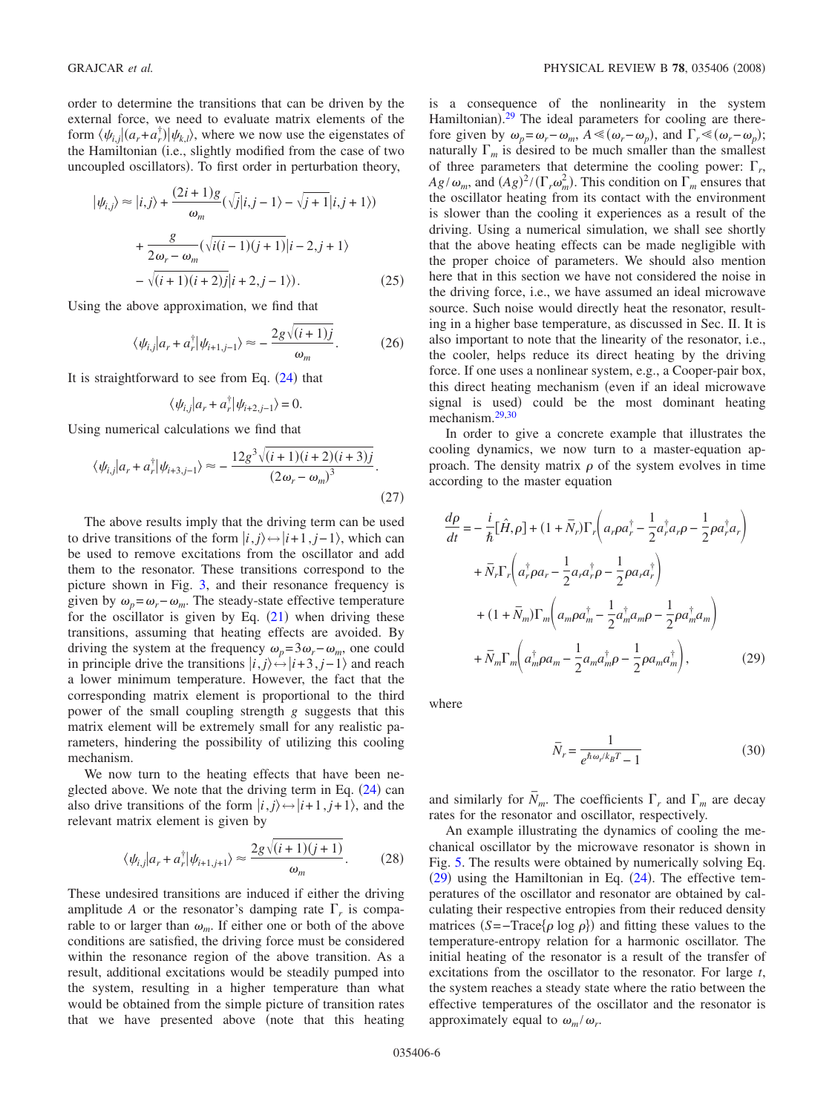order to determine the transitions that can be driven by the external force, we need to evaluate matrix elements of the form  $\langle \psi_{i,j} | (a_r + a_r^{\dagger}) | \psi_{k,l} \rangle$ , where we now use the eigenstates of the Hamiltonian (i.e., slightly modified from the case of two uncoupled oscillators). To first order in perturbation theory,

$$
|\psi_{i,j}\rangle \approx |i,j\rangle + \frac{(2i+1)g}{\omega_m} (\sqrt{j}|i,j-1\rangle - \sqrt{j+1}|i,j+1\rangle)
$$

$$
+\frac{g}{2\omega_r - \omega_m} (\sqrt{i(i-1)(j+1)}|i-2,j+1\rangle)
$$

$$
-\sqrt{(i+1)(i+2)j}|i+2,j-1\rangle).
$$
 (25)

Using the above approximation, we find that

$$
\langle \psi_{i,j} | a_r + a_r^{\dagger} | \psi_{i+1,j-1} \rangle \approx -\frac{2g\sqrt{(i+1)j}}{\omega_m}.
$$
 (26)

It is straightforward to see from Eq.  $(24)$  $(24)$  $(24)$  that

$$
\langle \psi_{i,j} | a_r + a_r^{\dagger} | \psi_{i+2,j-1} \rangle = 0.
$$

Using numerical calculations we find that

$$
\langle \psi_{i,j} | a_r + a_r^{\dagger} | \psi_{i+3,j-1} \rangle \approx -\frac{12g^3 \sqrt{(i+1)(i+2)(i+3)j}}{(2\omega_r - \omega_m)^3}.
$$
\n(27)

The above results imply that the driving term can be used to drive transitions of the form  $|i, j\rangle \leftrightarrow |i+1, j-1\rangle$ , which can be used to remove excitations from the oscillator and add them to the resonator. These transitions correspond to the picture shown in Fig. [3,](#page-3-0) and their resonance frequency is given by  $\omega_p = \omega_r - \omega_m$ . The steady-state effective temperature for the oscillator is given by Eq.  $(21)$  $(21)$  $(21)$  when driving these transitions, assuming that heating effects are avoided. By driving the system at the frequency  $\omega_p = 3\omega_r - \omega_m$ , one could in principle drive the transitions  $|i, j\rangle \leftrightarrow |i+3, j-1\rangle$  and reach a lower minimum temperature. However, the fact that the corresponding matrix element is proportional to the third power of the small coupling strength *g* suggests that this matrix element will be extremely small for any realistic parameters, hindering the possibility of utilizing this cooling mechanism.

We now turn to the heating effects that have been neglected above. We note that the driving term in Eq.  $(24)$  $(24)$  $(24)$  can also drive transitions of the form  $|i, j\rangle \leftrightarrow |i+1, j+1\rangle$ , and the relevant matrix element is given by

$$
\langle \psi_{i,j} | a_r + a_r^{\dagger} | \psi_{i+1,j+1} \rangle \approx \frac{2g\sqrt{(i+1)(j+1)}}{\omega_m}.
$$
 (28)

These undesired transitions are induced if either the driving amplitude *A* or the resonator's damping rate  $\Gamma_r$  is comparable to or larger than  $\omega_m$ . If either one or both of the above conditions are satisfied, the driving force must be considered within the resonance region of the above transition. As a result, additional excitations would be steadily pumped into the system, resulting in a higher temperature than what would be obtained from the simple picture of transition rates that we have presented above (note that this heating is a consequence of the nonlinearity in the system Hamiltonian).<sup>[29](#page-6-19)</sup> The ideal parameters for cooling are therefore given by  $\omega_p = \omega_r - \omega_m$ ,  $A \ll (\omega_r - \omega_p)$ , and  $\Gamma_r \ll (\omega_r - \omega_p)$ ; naturally  $\Gamma_m$  is desired to be much smaller than the smallest of three parameters that determine the cooling power:  $\Gamma_r$ ,  $Ag/\omega_m$ , and  $(Ag)^2/(\Gamma_r\omega_m^2)$ . This condition on  $\Gamma_m$  ensures that the oscillator heating from its contact with the environment is slower than the cooling it experiences as a result of the driving. Using a numerical simulation, we shall see shortly that the above heating effects can be made negligible with the proper choice of parameters. We should also mention here that in this section we have not considered the noise in the driving force, i.e., we have assumed an ideal microwave source. Such noise would directly heat the resonator, resulting in a higher base temperature, as discussed in Sec. II. It is also important to note that the linearity of the resonator, i.e., the cooler, helps reduce its direct heating by the driving force. If one uses a nonlinear system, e.g., a Cooper-pair box, this direct heating mechanism (even if an ideal microwave signal is used) could be the most dominant heating mechanism[.29,](#page-6-19)[30](#page-7-0)

In order to give a concrete example that illustrates the cooling dynamics, we now turn to a master-equation approach. The density matrix  $\rho$  of the system evolves in time according to the master equation

<span id="page-5-0"></span>
$$
\frac{d\rho}{dt} = -\frac{i}{\hbar} [\hat{H}, \rho] + (1 + \bar{N}_r) \Gamma_r \left( a_r \rho a_r^{\dagger} - \frac{1}{2} a_r^{\dagger} a_r \rho - \frac{1}{2} \rho a_r^{\dagger} a_r \right)
$$

$$
+ \bar{N}_r \Gamma_r \left( a_r^{\dagger} \rho a_r - \frac{1}{2} a_r a_r^{\dagger} \rho - \frac{1}{2} \rho a_r a_r^{\dagger} \right)
$$

$$
+ (1 + \bar{N}_m) \Gamma_m \left( a_m \rho a_m^{\dagger} - \frac{1}{2} a_m^{\dagger} a_m \rho - \frac{1}{2} \rho a_m^{\dagger} a_m \right)
$$

$$
+ \bar{N}_m \Gamma_m \left( a_m^{\dagger} \rho a_m - \frac{1}{2} a_m a_m^{\dagger} \rho - \frac{1}{2} \rho a_m a_m^{\dagger} \right), \tag{29}
$$

where

$$
\bar{N}_r = \frac{1}{e^{\hbar \omega_r / k_B T} - 1} \tag{30}
$$

and similarly for  $\overline{N}_m$ . The coefficients  $\Gamma_r$  and  $\Gamma_m$  are decay rates for the resonator and oscillator, respectively.

An example illustrating the dynamics of cooling the mechanical oscillator by the microwave resonator is shown in Fig. [5.](#page-6-20) The results were obtained by numerically solving Eq.  $(29)$  $(29)$  $(29)$  using the Hamiltonian in Eq.  $(24)$  $(24)$  $(24)$ . The effective temperatures of the oscillator and resonator are obtained by calculating their respective entropies from their reduced density matrices  $(S = -Trace{\rho \log \rho})$  and fitting these values to the temperature-entropy relation for a harmonic oscillator. The initial heating of the resonator is a result of the transfer of excitations from the oscillator to the resonator. For large *t*, the system reaches a steady state where the ratio between the effective temperatures of the oscillator and the resonator is approximately equal to  $\omega_m / \omega_r$ .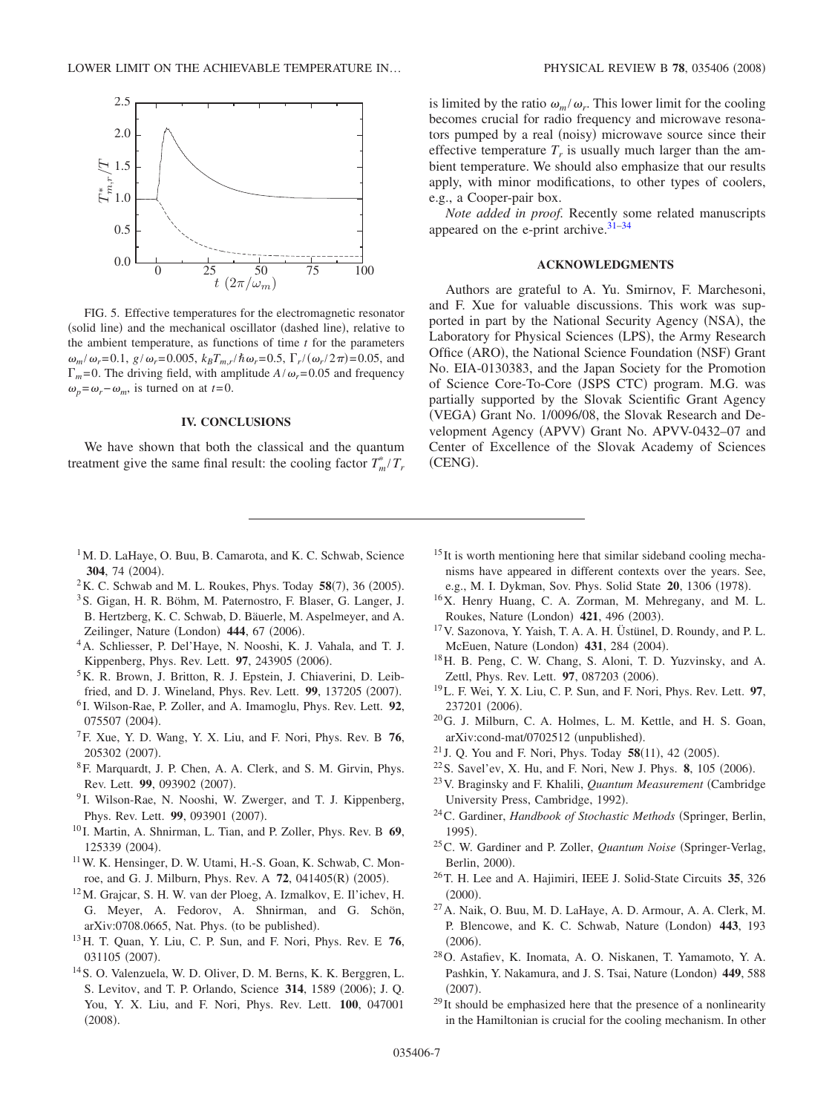<span id="page-6-20"></span>

FIG. 5. Effective temperatures for the electromagnetic resonator (solid line) and the mechanical oscillator (dashed line), relative to the ambient temperature, as functions of time *t* for the parameters  $\omega_m/\omega_r = 0.1$ ,  $g/\omega_r = 0.005$ ,  $k_B T_{m,r}/\hbar \omega_r = 0.5$ ,  $\Gamma_r/(\omega_r/2\pi) = 0.05$ , and  $\Gamma_m$ = 0. The driving field, with amplitude *A*/ $\omega_r$ = 0.05 and frequency  $\omega_p = \omega_r - \omega_m$ , is turned on at *t*=0.

### **IV. CONCLUSIONS**

We have shown that both the classical and the quantum treatment give the same final result: the cooling factor  $T_m^*/T_r$ 

is limited by the ratio  $\omega_m / \omega_r$ . This lower limit for the cooling becomes crucial for radio frequency and microwave resonators pumped by a real (noisy) microwave source since their effective temperature  $T_r$  is usually much larger than the ambient temperature. We should also emphasize that our results apply, with minor modifications, to other types of coolers, e.g., a Cooper-pair box.

*Note added in proof.* Recently some related manuscripts appeared on the e-print archive. $31-34$ 

# **ACKNOWLEDGMENTS**

Authors are grateful to A. Yu. Smirnov, F. Marchesoni, and F. Xue for valuable discussions. This work was supported in part by the National Security Agency (NSA), the Laboratory for Physical Sciences (LPS), the Army Research Office (ARO), the National Science Foundation (NSF) Grant No. EIA-0130383, and the Japan Society for the Promotion of Science Core-To-Core (JSPS CTC) program. M.G. was partially supported by the Slovak Scientific Grant Agency (VEGA) Grant No. 1/0096/08, the Slovak Research and Development Agency (APVV) Grant No. APVV-0432-07 and Center of Excellence of the Slovak Academy of Sciences (CENG).

- <sup>1</sup>M. D. LaHaye, O. Buu, B. Camarota, and K. C. Schwab, Science **304**, 74 (2004).
- <span id="page-6-0"></span> $2$ K. C. Schwab and M. L. Roukes, Phys. Today  $58(7)$ , 36 (2005).
- 3S. Gigan, H. R. Böhm, M. Paternostro, F. Blaser, G. Langer, J. B. Hertzberg, K. C. Schwab, D. Bäuerle, M. Aspelmeyer, and A. Zeilinger, Nature (London) 444, 67 (2006).
- 4A. Schliesser, P. Del'Haye, N. Nooshi, K. J. Vahala, and T. J. Kippenberg, Phys. Rev. Lett. 97, 243905 (2006).
- 5K. R. Brown, J. Britton, R. J. Epstein, J. Chiaverini, D. Leibfried, and D. J. Wineland, Phys. Rev. Lett. 99, 137205 (2007).
- <span id="page-6-1"></span><sup>6</sup> I. Wilson-Rae, P. Zoller, and A. Imamoglu, Phys. Rev. Lett. **92**, 075507 (2004).
- <span id="page-6-2"></span>7F. Xue, Y. D. Wang, Y. X. Liu, and F. Nori, Phys. Rev. B **76**, 205302 (2007).
- <span id="page-6-15"></span>8F. Marquardt, J. P. Chen, A. A. Clerk, and S. M. Girvin, Phys. Rev. Lett. 99, 093902 (2007).
- <sup>9</sup> I. Wilson-Rae, N. Nooshi, W. Zwerger, and T. J. Kippenberg, Phys. Rev. Lett. 99, 093901 (2007).
- <span id="page-6-3"></span><sup>10</sup> I. Martin, A. Shnirman, L. Tian, and P. Zoller, Phys. Rev. B **69**, 125339 (2004).
- <span id="page-6-4"></span>11W. K. Hensinger, D. W. Utami, H.-S. Goan, K. Schwab, C. Monroe, and G. J. Milburn, Phys. Rev. A 72, 041405(R) (2005).
- 12M. Grajcar, S. H. W. van der Ploeg, A. Izmalkov, E. Il'ichev, H. G. Meyer, A. Fedorov, A. Shnirman, and G. Schön, arXiv:0708.0665, Nat. Phys. (to be published).
- <span id="page-6-18"></span>13H. T. Quan, Y. Liu, C. P. Sun, and F. Nori, Phys. Rev. E **76**, 031105 (2007).
- 14S. O. Valenzuela, W. D. Oliver, D. M. Berns, K. K. Berggren, L. S. Levitov, and T. P. Orlando, Science 314, 1589 (2006); J. Q. You, Y. X. Liu, and F. Nori, Phys. Rev. Lett. **100**, 047001  $(2008).$
- <sup>15</sup> It is worth mentioning here that similar sideband cooling mechanisms have appeared in different contexts over the years. See, e.g., M. I. Dykman, Sov. Phys. Solid State 20, 1306 (1978).
- <span id="page-6-5"></span>16X. Henry Huang, C. A. Zorman, M. Mehregany, and M. L. Roukes, Nature (London) 421, 496 (2003).
- <span id="page-6-6"></span>17V. Sazonova, Y. Yaish, T. A. A. H. Üstünel, D. Roundy, and P. L. McEuen, Nature (London) 431, 284 (2004).
- 18H. B. Peng, C. W. Chang, S. Aloni, T. D. Yuzvinsky, and A. Zettl, Phys. Rev. Lett. **97**, 087203 (2006).
- <span id="page-6-7"></span>19L. F. Wei, Y. X. Liu, C. P. Sun, and F. Nori, Phys. Rev. Lett. **97**, 237201 (2006).
- <span id="page-6-8"></span>20G. J. Milburn, C. A. Holmes, L. M. Kettle, and H. S. Goan, arXiv:cond-mat/0702512 (unpublished).
- <span id="page-6-9"></span><sup>21</sup> J. Q. You and F. Nori, Phys. Today  $58(11)$ , 42 (2005).
- <sup>22</sup> S. Savel'ev, X. Hu, and F. Nori, New J. Phys. **8**, 105 (2006).
- <span id="page-6-11"></span><span id="page-6-10"></span>23V. Braginsky and F. Khalili, *Quantum Measurement* Cambridge University Press, Cambridge, 1992).
- <span id="page-6-12"></span><sup>24</sup>C. Gardiner, *Handbook of Stochastic Methods* (Springer, Berlin, 1995).
- <span id="page-6-13"></span><sup>25</sup>C. W. Gardiner and P. Zoller, *Quantum Noise* (Springer-Verlag, Berlin, 2000).
- 26T. H. Lee and A. Hajimiri, IEEE J. Solid-State Circuits **35**, 326  $(2000).$
- <span id="page-6-14"></span>27A. Naik, O. Buu, M. D. LaHaye, A. D. Armour, A. A. Clerk, M. P. Blencowe, and K. C. Schwab, Nature (London) 443, 193  $(2006).$
- <span id="page-6-16"></span>28O. Astafiev, K. Inomata, A. O. Niskanen, T. Yamamoto, Y. A. Pashkin, Y. Nakamura, and J. S. Tsai, Nature (London) 449, 588  $(2007).$
- <span id="page-6-19"></span><span id="page-6-17"></span> $29$  It should be emphasized here that the presence of a nonlinearity in the Hamiltonian is crucial for the cooling mechanism. In other